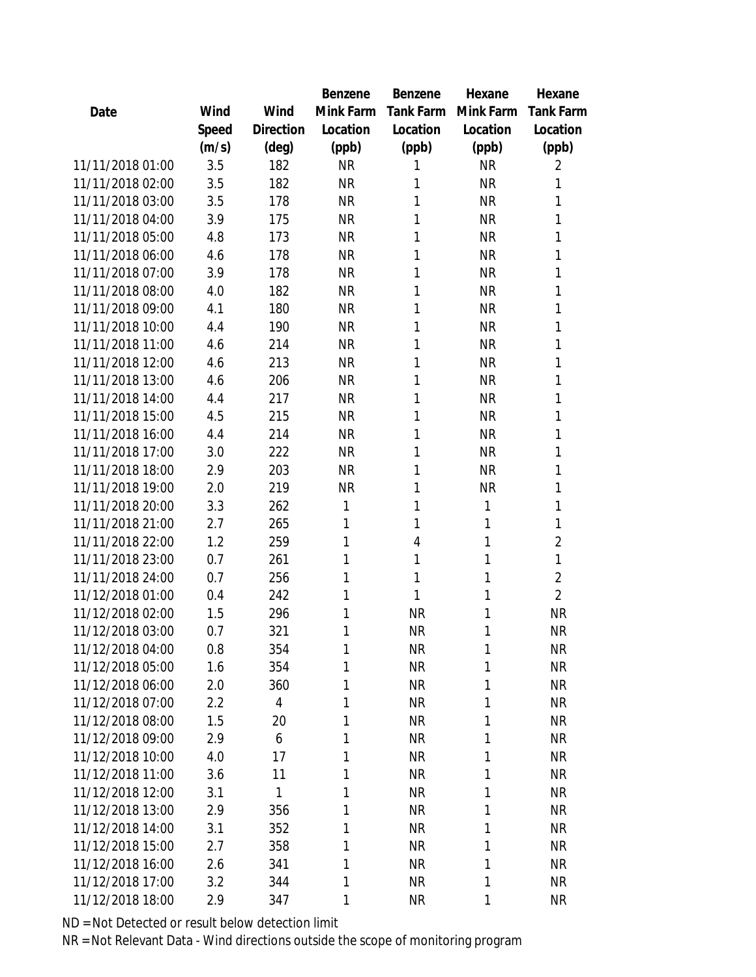|                  |       |                | Benzene   | Benzene        | Hexane    | Hexane           |
|------------------|-------|----------------|-----------|----------------|-----------|------------------|
| Date             | Wind  | Wind           | Mink Farm | Tank Farm      | Mink Farm | <b>Tank Farm</b> |
|                  | Speed | Direction      | Location  | Location       | Location  | Location         |
|                  | (m/s) | (deg)          | (ppb)     | (ppb)          | (ppb)     | (ppb)            |
| 11/11/2018 01:00 | 3.5   | 182            | <b>NR</b> | 1              | <b>NR</b> | 2                |
| 11/11/2018 02:00 | 3.5   | 182            | <b>NR</b> | 1              | <b>NR</b> | 1                |
| 11/11/2018 03:00 | 3.5   | 178            | <b>NR</b> | 1              | <b>NR</b> | 1                |
| 11/11/2018 04:00 | 3.9   | 175            | <b>NR</b> | 1              | <b>NR</b> | 1                |
| 11/11/2018 05:00 | 4.8   | 173            | <b>NR</b> | 1              | <b>NR</b> | 1                |
| 11/11/2018 06:00 | 4.6   | 178            | <b>NR</b> | 1              | <b>NR</b> | 1                |
| 11/11/2018 07:00 | 3.9   | 178            | <b>NR</b> | 1              | <b>NR</b> | 1                |
| 11/11/2018 08:00 | 4.0   | 182            | <b>NR</b> | 1              | <b>NR</b> | 1                |
| 11/11/2018 09:00 | 4.1   | 180            | <b>NR</b> | 1              | <b>NR</b> | 1                |
| 11/11/2018 10:00 | 4.4   | 190            | <b>NR</b> | 1              | <b>NR</b> | 1                |
| 11/11/2018 11:00 | 4.6   | 214            | <b>NR</b> | 1              | <b>NR</b> | 1                |
| 11/11/2018 12:00 | 4.6   | 213            | <b>NR</b> | 1              | <b>NR</b> | 1                |
| 11/11/2018 13:00 | 4.6   | 206            | <b>NR</b> | 1              | <b>NR</b> | 1                |
| 11/11/2018 14:00 | 4.4   | 217            | <b>NR</b> | 1              | <b>NR</b> | 1                |
| 11/11/2018 15:00 | 4.5   | 215            | <b>NR</b> | 1              | <b>NR</b> | 1                |
| 11/11/2018 16:00 | 4.4   | 214            | <b>NR</b> | 1              | <b>NR</b> | 1                |
| 11/11/2018 17:00 | 3.0   | 222            | <b>NR</b> | 1              | <b>NR</b> | 1                |
| 11/11/2018 18:00 | 2.9   | 203            | <b>NR</b> | 1              | <b>NR</b> | 1                |
| 11/11/2018 19:00 | 2.0   | 219            | <b>NR</b> | 1              | <b>NR</b> | 1                |
| 11/11/2018 20:00 | 3.3   | 262            | 1         | 1              | 1         | 1                |
| 11/11/2018 21:00 | 2.7   | 265            | 1         | 1              | 1         | 1                |
| 11/11/2018 22:00 | 1.2   | 259            | 1         | $\overline{4}$ | 1         | $\overline{2}$   |
| 11/11/2018 23:00 | 0.7   | 261            | 1         | 1              | 1         | 1                |
| 11/11/2018 24:00 | 0.7   | 256            | 1         | 1              | 1         | $\overline{2}$   |
| 11/12/2018 01:00 | 0.4   | 242            | 1         | 1              | 1         | $\overline{2}$   |
| 11/12/2018 02:00 | 1.5   | 296            | 1         | <b>NR</b>      | 1         | <b>NR</b>        |
| 11/12/2018 03:00 | 0.7   | 321            | 1         | <b>NR</b>      | 1         | <b>NR</b>        |
| 11/12/2018 04:00 | 0.8   | 354            | 1         | <b>NR</b>      | 1         | <b>NR</b>        |
| 11/12/2018 05:00 | 1.6   | 354            | 1         | <b>NR</b>      | 1         | <b>NR</b>        |
| 11/12/2018 06:00 | 2.0   | 360            | 1         | <b>NR</b>      | 1         | <b>NR</b>        |
| 11/12/2018 07:00 | 2.2   | $\overline{4}$ | 1         | <b>NR</b>      | 1         | <b>NR</b>        |
| 11/12/2018 08:00 | 1.5   | 20             | 1         | <b>NR</b>      | 1         | <b>NR</b>        |
| 11/12/2018 09:00 | 2.9   | 6              | 1         | <b>NR</b>      | 1         | <b>NR</b>        |
| 11/12/2018 10:00 | 4.0   | 17             | 1         | <b>NR</b>      | 1         | <b>NR</b>        |
| 11/12/2018 11:00 | 3.6   | 11             | 1         | <b>NR</b>      | 1         | <b>NR</b>        |
| 11/12/2018 12:00 | 3.1   | 1              | 1         | <b>NR</b>      | 1         | <b>NR</b>        |
| 11/12/2018 13:00 | 2.9   | 356            | 1         | <b>NR</b>      | 1         | <b>NR</b>        |
| 11/12/2018 14:00 | 3.1   | 352            | 1         | <b>NR</b>      | 1         | <b>NR</b>        |
| 11/12/2018 15:00 | 2.7   | 358            | 1         | <b>NR</b>      | 1         | <b>NR</b>        |
| 11/12/2018 16:00 | 2.6   | 341            | 1         | <b>NR</b>      | 1         | <b>NR</b>        |
| 11/12/2018 17:00 | 3.2   | 344            | 1         | <b>NR</b>      | 1         | <b>NR</b>        |
| 11/12/2018 18:00 | 2.9   | 347            | 1         | <b>NR</b>      | 1         | <b>NR</b>        |
|                  |       |                |           |                |           |                  |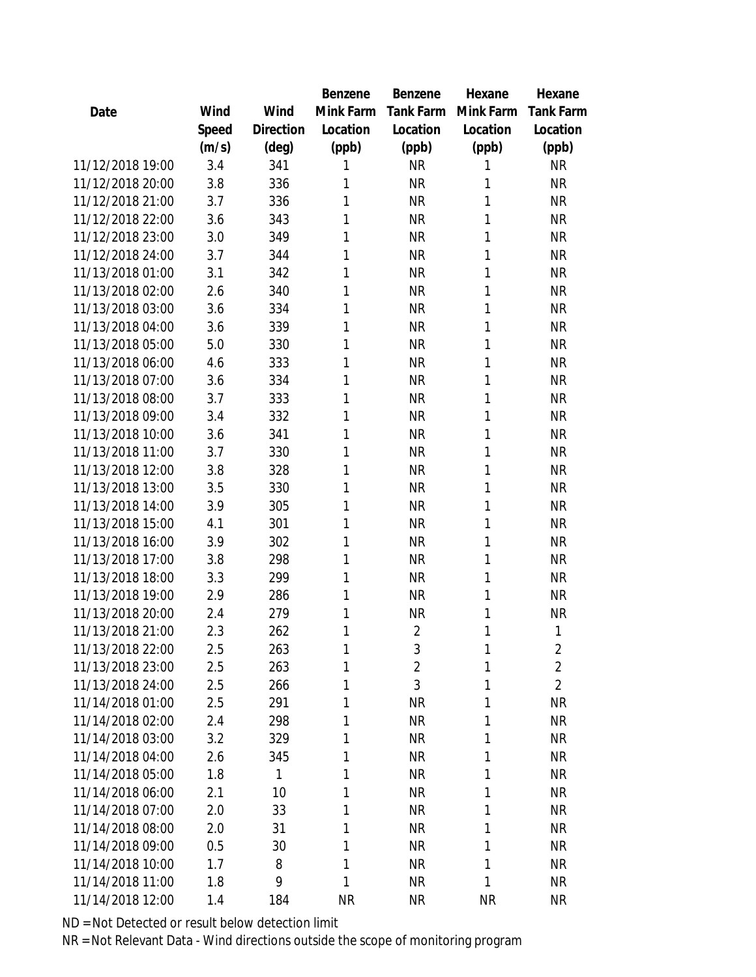|                  |       |                | Benzene   | Benzene        | Hexane    | Hexane           |
|------------------|-------|----------------|-----------|----------------|-----------|------------------|
| Date             | Wind  | Wind           | Mink Farm | Tank Farm      | Mink Farm | <b>Tank Farm</b> |
|                  | Speed | Direction      | Location  | Location       | Location  | Location         |
|                  | (m/s) | $(\text{deg})$ | (ppb)     | (ppb)          | (ppb)     | (ppb)            |
| 11/12/2018 19:00 | 3.4   | 341            | 1         | <b>NR</b>      | 1         | <b>NR</b>        |
| 11/12/2018 20:00 | 3.8   | 336            | 1         | <b>NR</b>      | 1         | <b>NR</b>        |
| 11/12/2018 21:00 | 3.7   | 336            | 1         | <b>NR</b>      | 1         | <b>NR</b>        |
| 11/12/2018 22:00 | 3.6   | 343            | 1         | <b>NR</b>      | 1         | <b>NR</b>        |
| 11/12/2018 23:00 | 3.0   | 349            | 1         | <b>NR</b>      | 1         | <b>NR</b>        |
| 11/12/2018 24:00 | 3.7   | 344            | 1         | <b>NR</b>      | 1         | <b>NR</b>        |
| 11/13/2018 01:00 | 3.1   | 342            | 1         | <b>NR</b>      | 1         | <b>NR</b>        |
| 11/13/2018 02:00 | 2.6   | 340            | 1         | <b>NR</b>      | 1         | <b>NR</b>        |
| 11/13/2018 03:00 | 3.6   | 334            | 1         | <b>NR</b>      | 1         | <b>NR</b>        |
| 11/13/2018 04:00 | 3.6   | 339            | 1         | <b>NR</b>      | 1         | <b>NR</b>        |
| 11/13/2018 05:00 | 5.0   | 330            | 1         | <b>NR</b>      | 1         | <b>NR</b>        |
| 11/13/2018 06:00 | 4.6   | 333            | 1         | <b>NR</b>      | 1         | <b>NR</b>        |
| 11/13/2018 07:00 | 3.6   | 334            | 1         | <b>NR</b>      | 1         | <b>NR</b>        |
| 11/13/2018 08:00 | 3.7   | 333            | 1         | <b>NR</b>      | 1         | <b>NR</b>        |
| 11/13/2018 09:00 | 3.4   | 332            | 1         | <b>NR</b>      | 1         | <b>NR</b>        |
| 11/13/2018 10:00 | 3.6   | 341            | 1         | <b>NR</b>      | 1         | <b>NR</b>        |
| 11/13/2018 11:00 | 3.7   | 330            | 1         | <b>NR</b>      | 1         | <b>NR</b>        |
| 11/13/2018 12:00 | 3.8   | 328            | 1         | <b>NR</b>      | 1         | <b>NR</b>        |
| 11/13/2018 13:00 | 3.5   | 330            | 1         | <b>NR</b>      | 1         | <b>NR</b>        |
| 11/13/2018 14:00 | 3.9   | 305            | 1         | <b>NR</b>      | 1         | <b>NR</b>        |
| 11/13/2018 15:00 | 4.1   | 301            | 1         | <b>NR</b>      | 1         | <b>NR</b>        |
| 11/13/2018 16:00 | 3.9   | 302            | 1         | <b>NR</b>      | 1         | <b>NR</b>        |
| 11/13/2018 17:00 | 3.8   | 298            | 1         | <b>NR</b>      | 1         | <b>NR</b>        |
| 11/13/2018 18:00 | 3.3   | 299            | 1         | <b>NR</b>      | 1         | <b>NR</b>        |
| 11/13/2018 19:00 | 2.9   | 286            | 1         | <b>NR</b>      | 1         | <b>NR</b>        |
| 11/13/2018 20:00 | 2.4   | 279            | 1         | <b>NR</b>      | 1         | <b>NR</b>        |
| 11/13/2018 21:00 | 2.3   | 262            | 1         | $\overline{2}$ | 1         | 1                |
| 11/13/2018 22:00 | 2.5   | 263            | 1         | $\mathfrak{Z}$ | 1         | $\overline{2}$   |
| 11/13/2018 23:00 | 2.5   | 263            | 1         | $\overline{2}$ | 1         | $\overline{2}$   |
| 11/13/2018 24:00 | 2.5   | 266            | 1         | 3              | 1         | $\overline{2}$   |
| 11/14/2018 01:00 | 2.5   | 291            | 1         | <b>NR</b>      | 1         | <b>NR</b>        |
| 11/14/2018 02:00 | 2.4   | 298            | 1         | <b>NR</b>      | 1         | <b>NR</b>        |
| 11/14/2018 03:00 | 3.2   | 329            | 1         | <b>NR</b>      | 1         | <b>NR</b>        |
| 11/14/2018 04:00 | 2.6   | 345            | 1         | <b>NR</b>      | 1         | <b>NR</b>        |
| 11/14/2018 05:00 | 1.8   | 1              | 1         | <b>NR</b>      | 1         | <b>NR</b>        |
| 11/14/2018 06:00 | 2.1   | 10             | 1         | <b>NR</b>      | 1         | <b>NR</b>        |
| 11/14/2018 07:00 | 2.0   | 33             | 1         | <b>NR</b>      | 1         | <b>NR</b>        |
| 11/14/2018 08:00 | 2.0   | 31             | 1         | <b>NR</b>      | 1         | <b>NR</b>        |
| 11/14/2018 09:00 | 0.5   | 30             | 1         | <b>NR</b>      | 1         | <b>NR</b>        |
| 11/14/2018 10:00 | 1.7   | 8              | 1         | <b>NR</b>      | 1         | <b>NR</b>        |
| 11/14/2018 11:00 | 1.8   | 9              | 1         | <b>NR</b>      | 1         | <b>NR</b>        |
| 11/14/2018 12:00 | 1.4   | 184            | <b>NR</b> | <b>NR</b>      | <b>NR</b> | <b>NR</b>        |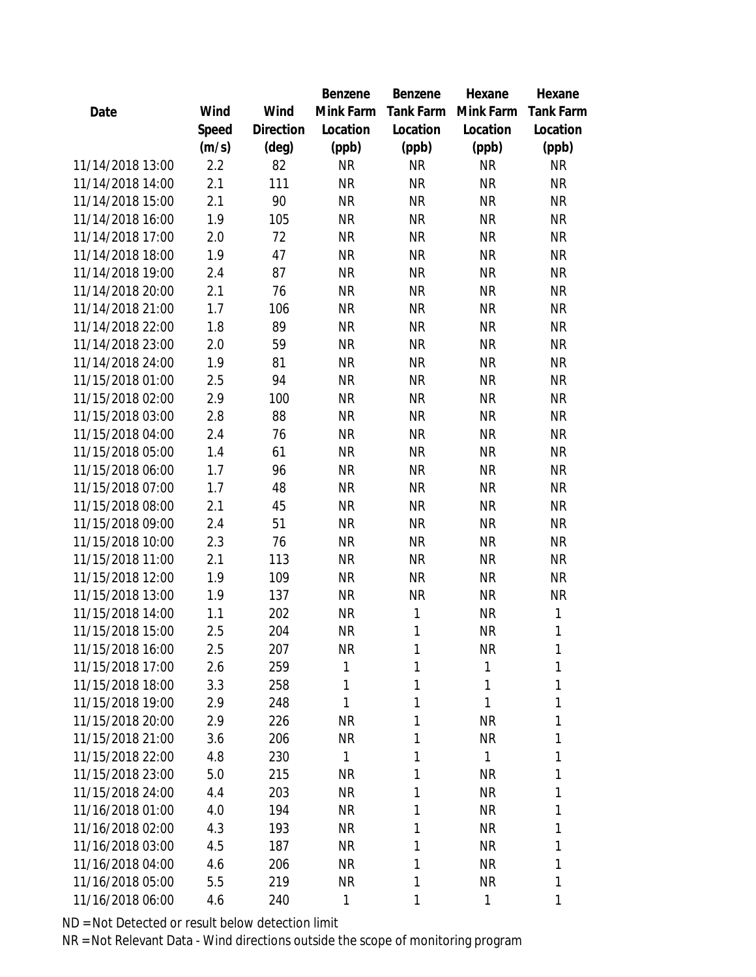|                  |       |                | Benzene      | Benzene   | Hexane       | Hexane           |
|------------------|-------|----------------|--------------|-----------|--------------|------------------|
| Date             | Wind  | Wind           | Mink Farm    | Tank Farm | Mink Farm    | <b>Tank Farm</b> |
|                  | Speed | Direction      | Location     | Location  | Location     | Location         |
|                  | (m/s) | $(\text{deg})$ | (ppb)        | (ppb)     | (ppb)        | (ppb)            |
| 11/14/2018 13:00 | 2.2   | 82             | <b>NR</b>    | <b>NR</b> | <b>NR</b>    | <b>NR</b>        |
| 11/14/2018 14:00 | 2.1   | 111            | <b>NR</b>    | <b>NR</b> | <b>NR</b>    | <b>NR</b>        |
| 11/14/2018 15:00 | 2.1   | 90             | <b>NR</b>    | <b>NR</b> | <b>NR</b>    | <b>NR</b>        |
| 11/14/2018 16:00 | 1.9   | 105            | <b>NR</b>    | <b>NR</b> | <b>NR</b>    | <b>NR</b>        |
| 11/14/2018 17:00 | 2.0   | 72             | <b>NR</b>    | <b>NR</b> | <b>NR</b>    | <b>NR</b>        |
| 11/14/2018 18:00 | 1.9   | 47             | <b>NR</b>    | <b>NR</b> | <b>NR</b>    | <b>NR</b>        |
| 11/14/2018 19:00 | 2.4   | 87             | <b>NR</b>    | <b>NR</b> | <b>NR</b>    | <b>NR</b>        |
| 11/14/2018 20:00 | 2.1   | 76             | <b>NR</b>    | <b>NR</b> | <b>NR</b>    | <b>NR</b>        |
| 11/14/2018 21:00 | 1.7   | 106            | <b>NR</b>    | <b>NR</b> | <b>NR</b>    | <b>NR</b>        |
| 11/14/2018 22:00 | 1.8   | 89             | <b>NR</b>    | <b>NR</b> | <b>NR</b>    | <b>NR</b>        |
| 11/14/2018 23:00 | 2.0   | 59             | <b>NR</b>    | <b>NR</b> | <b>NR</b>    | <b>NR</b>        |
| 11/14/2018 24:00 | 1.9   | 81             | <b>NR</b>    | <b>NR</b> | <b>NR</b>    | <b>NR</b>        |
| 11/15/2018 01:00 | 2.5   | 94             | <b>NR</b>    | <b>NR</b> | <b>NR</b>    | <b>NR</b>        |
| 11/15/2018 02:00 | 2.9   | 100            | <b>NR</b>    | <b>NR</b> | <b>NR</b>    | <b>NR</b>        |
| 11/15/2018 03:00 | 2.8   | 88             | <b>NR</b>    | <b>NR</b> | <b>NR</b>    | <b>NR</b>        |
| 11/15/2018 04:00 | 2.4   | 76             | <b>NR</b>    | <b>NR</b> | <b>NR</b>    | <b>NR</b>        |
| 11/15/2018 05:00 | 1.4   | 61             | <b>NR</b>    | <b>NR</b> | <b>NR</b>    | <b>NR</b>        |
| 11/15/2018 06:00 | 1.7   | 96             | <b>NR</b>    | <b>NR</b> | <b>NR</b>    | <b>NR</b>        |
| 11/15/2018 07:00 | 1.7   | 48             | <b>NR</b>    | <b>NR</b> | <b>NR</b>    | <b>NR</b>        |
| 11/15/2018 08:00 | 2.1   | 45             | <b>NR</b>    | <b>NR</b> | <b>NR</b>    | <b>NR</b>        |
| 11/15/2018 09:00 | 2.4   | 51             | <b>NR</b>    | <b>NR</b> | <b>NR</b>    | <b>NR</b>        |
| 11/15/2018 10:00 | 2.3   | 76             | <b>NR</b>    | <b>NR</b> | <b>NR</b>    | <b>NR</b>        |
| 11/15/2018 11:00 | 2.1   | 113            | <b>NR</b>    | <b>NR</b> | <b>NR</b>    | <b>NR</b>        |
| 11/15/2018 12:00 | 1.9   | 109            | <b>NR</b>    | <b>NR</b> | <b>NR</b>    | <b>NR</b>        |
| 11/15/2018 13:00 | 1.9   | 137            | <b>NR</b>    | <b>NR</b> | <b>NR</b>    | <b>NR</b>        |
| 11/15/2018 14:00 | 1.1   | 202            | <b>NR</b>    | 1         | <b>NR</b>    | 1                |
| 11/15/2018 15:00 | 2.5   | 204            | <b>NR</b>    | 1         | <b>NR</b>    | 1                |
| 11/15/2018 16:00 | 2.5   | 207            | <b>NR</b>    | 1         | <b>NR</b>    | 1                |
| 11/15/2018 17:00 | 2.6   | 259            | 1            | 1         | 1            | 1                |
| 11/15/2018 18:00 | 3.3   | 258            | 1            | 1         | 1            | 1                |
| 11/15/2018 19:00 | 2.9   | 248            | $\mathbf{1}$ | 1         | $\mathbf{1}$ | 1                |
| 11/15/2018 20:00 | 2.9   | 226            | <b>NR</b>    | 1         | <b>NR</b>    | 1                |
| 11/15/2018 21:00 | 3.6   | 206            | <b>NR</b>    | 1         | <b>NR</b>    | 1                |
| 11/15/2018 22:00 | 4.8   | 230            | 1            | 1         | $\mathbf{1}$ | 1                |
| 11/15/2018 23:00 | 5.0   | 215            | <b>NR</b>    | 1         | <b>NR</b>    | 1                |
| 11/15/2018 24:00 | 4.4   | 203            | <b>NR</b>    | 1         | <b>NR</b>    | 1                |
| 11/16/2018 01:00 | 4.0   | 194            | <b>NR</b>    | 1         | <b>NR</b>    | 1                |
| 11/16/2018 02:00 | 4.3   | 193            | <b>NR</b>    | 1         | <b>NR</b>    | 1                |
| 11/16/2018 03:00 | 4.5   | 187            | <b>NR</b>    | 1         | <b>NR</b>    | 1                |
| 11/16/2018 04:00 | 4.6   | 206            | NR.          | 1         | <b>NR</b>    | 1                |
| 11/16/2018 05:00 | 5.5   | 219            | <b>NR</b>    | 1         | <b>NR</b>    | 1                |
| 11/16/2018 06:00 | 4.6   | 240            | 1            | 1         | $\mathbf{1}$ | 1                |